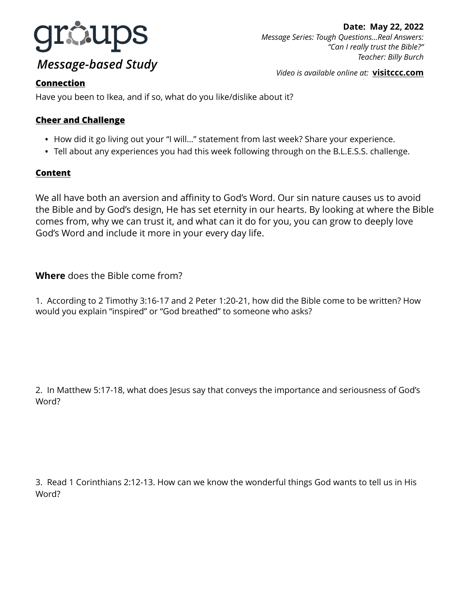

# *Message-based Study*

*Video is available online at:* **[visitccc.com](http://visitccc.com)**

# **Connection**

Have you been to Ikea, and if so, what do you like/dislike about it?

# **Cheer and Challenge**

- How did it go living out your "I will…" statement from last week? Share your experience.
- Tell about any experiences you had this week following through on the B.L.E.S.S. challenge.

### **Content**

We all have both an aversion and affinity to God's Word. Our sin nature causes us to avoid the Bible and by God's design, He has set eternity in our hearts. By looking at where the Bible comes from, why we can trust it, and what can it do for you, you can grow to deeply love God's Word and include it more in your every day life.

## **Where** does the Bible come from?

1. According to 2 Timothy 3:16-17 and 2 Peter 1:20-21, how did the Bible come to be written? How would you explain "inspired" or "God breathed" to someone who asks?

2. In Matthew 5:17-18, what does Jesus say that conveys the importance and seriousness of God's Word?

3. Read 1 Corinthians 2:12-13. How can we know the wonderful things God wants to tell us in His Word?